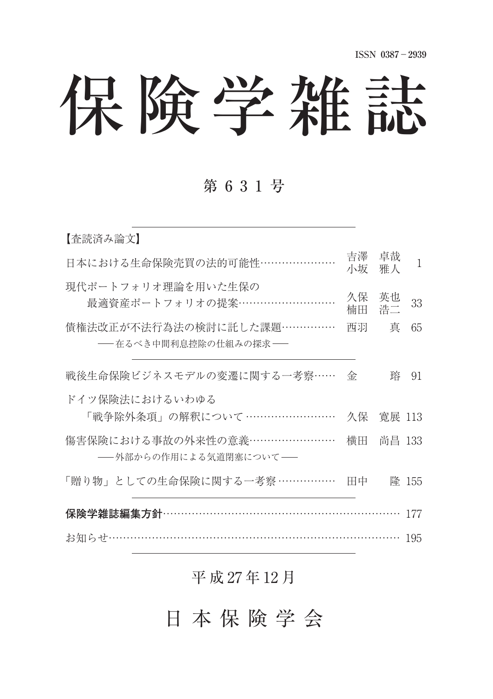# 保険学雑誌

### 第631号

| 【査読済み論文】                                            |          |          |       |
|-----------------------------------------------------|----------|----------|-------|
| 日本における生命保険売買の法的可能性…………………                           | 吉澤<br>小坂 | 卓哉<br>雅人 | 1     |
| 現代ポートフォリオ理論を用いた生保の<br>最適資産ポートフォリオの提案………………………       | 久保<br>楠田 | 英也<br>浩二 | 33    |
| 債権法改正が不法行為法の検討に託した課題……………<br>―― 在るべき中間利息控除の仕組みの探求―― | 西羽       | 真        | 65    |
| 戦後生命保険ビジネスモデルの変遷に関する一考察……                           | 金        | 踤        | 91    |
| ドイツ保険法におけるいわゆる<br>「戦争除外条項」の解釈について ……………………          | 久保       | 寛展 113   |       |
| 傷害保険における事故の外来性の意義……………………<br>-- 外部からの作用による気道閉塞について- | 横田       | 尚昌 133   |       |
| 「贈り物」としての生命保険に関する一考察 ……………                          | 田中       |          | 隆 155 |
| 保険学雑誌編集方針…                                          |          |          | 177   |
|                                                     |          |          | 195   |

#### 平 成 27 年 12 月

日本保険学会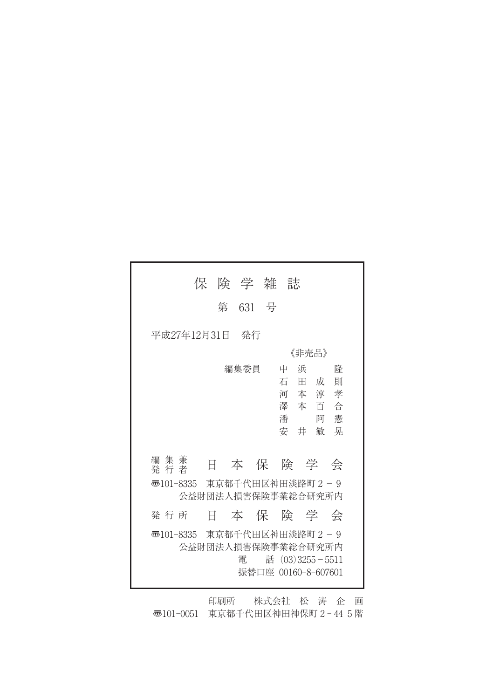| 保険学雑誌                                                                                                                                                                              |
|------------------------------------------------------------------------------------------------------------------------------------------------------------------------------------|
| 第 631 号                                                                                                                                                                            |
| 平成27年12月31日<br>- 発行                                                                                                                                                                |
| 《非壳品》                                                                                                                                                                              |
| 編集委員<br>中<br>浜<br>降<br>石<br>則<br>田 成<br>河本淳孝<br>澤 本 百 合<br>潘<br>憲<br>阿<br>安 井<br>晃<br>敏<br>編 集 兼<br>本 保 険 学 会<br>E.<br>発 行 者<br>東京都千代田区神田淡路町2-9<br>壺101-8335<br>公益財団法人損害保険事業総合研究所内 |
| 本保険学会<br>発 行 所<br>H.                                                                                                                                                               |
|                                                                                                                                                                                    |
| 東京都千代田区神田淡路町2-9<br>壺101-8335<br>公益財団法人損害保険事業総合研究所内<br>話 $(03)3255 - 5511$<br>雷<br>振替口座 00160-8-607601                                                                              |

印刷所 株式会社 松 涛 企 画 〠101-0051 東京都千代田区神田神保町 2 - 44 5 階